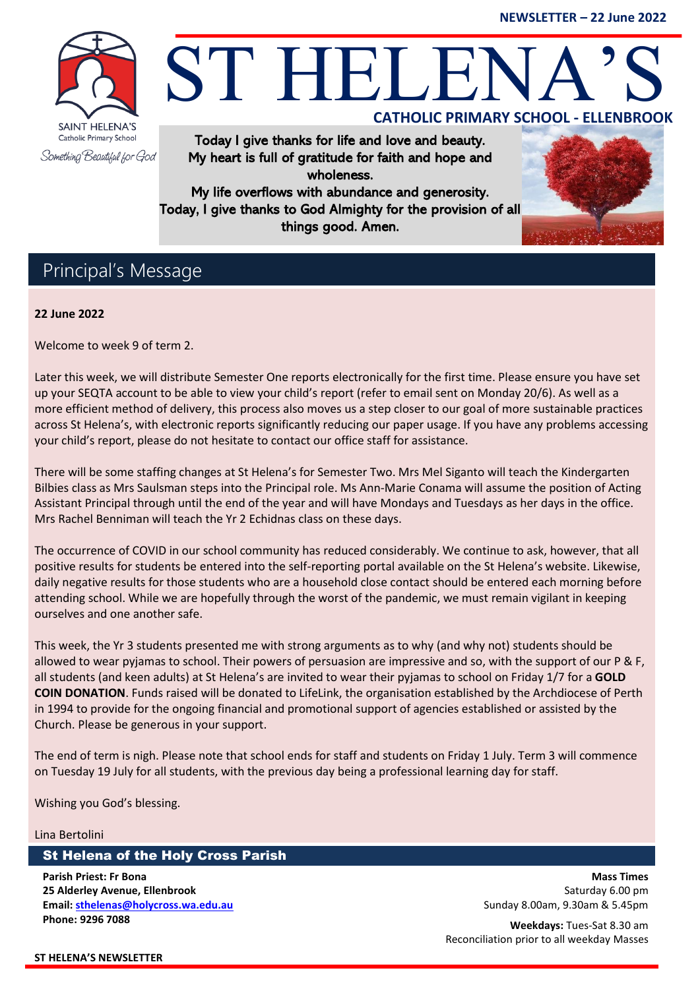**NEWSLETTER – 22 June 2022**



# ST HELE **CATHOLIC PRIMARY SCHOOL - ELLENBROOK**

Today I give thanks for life and love and beauty. My heart is full of gratitude for faith and hope and wholeness.

My life overflows with abundance and generosity. Today, I give thanks to God Almighty for the provision of all things good. Amen.



## Principal's Message

#### **22 June 2022**

Welcome to week 9 of term 2.

Later this week, we will distribute Semester One reports electronically for the first time. Please ensure you have set up your SEQTA account to be able to view your child's report (refer to email sent on Monday 20/6). As well as a more efficient method of delivery, this process also moves us a step closer to our goal of more sustainable practices across St Helena's, with electronic reports significantly reducing our paper usage. If you have any problems accessing your child's report, please do not hesitate to contact our office staff for assistance.

There will be some staffing changes at St Helena's for Semester Two. Mrs Mel Siganto will teach the Kindergarten Bilbies class as Mrs Saulsman steps into the Principal role. Ms Ann-Marie Conama will assume the position of Acting Assistant Principal through until the end of the year and will have Mondays and Tuesdays as her days in the office. Mrs Rachel Benniman will teach the Yr 2 Echidnas class on these days.

The occurrence of COVID in our school community has reduced considerably. We continue to ask, however, that all positive results for students be entered into the self-reporting portal available on the St Helena's website. Likewise, daily negative results for those students who are a household close contact should be entered each morning before attending school. While we are hopefully through the worst of the pandemic, we must remain vigilant in keeping ourselves and one another safe.

This week, the Yr 3 students presented me with strong arguments as to why (and why not) students should be allowed to wear pyjamas to school. Their powers of persuasion are impressive and so, with the support of our P & F, all students (and keen adults) at St Helena's are invited to wear their pyjamas to school on Friday 1/7 for a **GOLD COIN DONATION**. Funds raised will be donated to LifeLink, the organisation established by the Archdiocese of Perth in 1994 to provide for the ongoing financial and promotional support of agencies established or assisted by the Church. Please be generous in your support.

The end of term is nigh. Please note that school ends for staff and students on Friday 1 July. Term 3 will commence on Tuesday 19 July for all students, with the previous day being a professional learning day for staff.

Wishing you God's blessing.

#### Lina Bertolini

#### St Helena of the Holy Cross Parish

**Parish Priest: Fr Bona 25 Alderley Avenue, Ellenbrook Email[: sthelenas@holycross.wa.edu.au](mailto:sthelenas@holycross.wa.edu.au) Phone: 9296 7088**

**Mass Times** Saturday 6.00 pm Sunday 8.00am, 9.30am & 5.45pm

**Weekdays:** Tues-Sat 8.30 am Reconciliation prior to all weekday Masses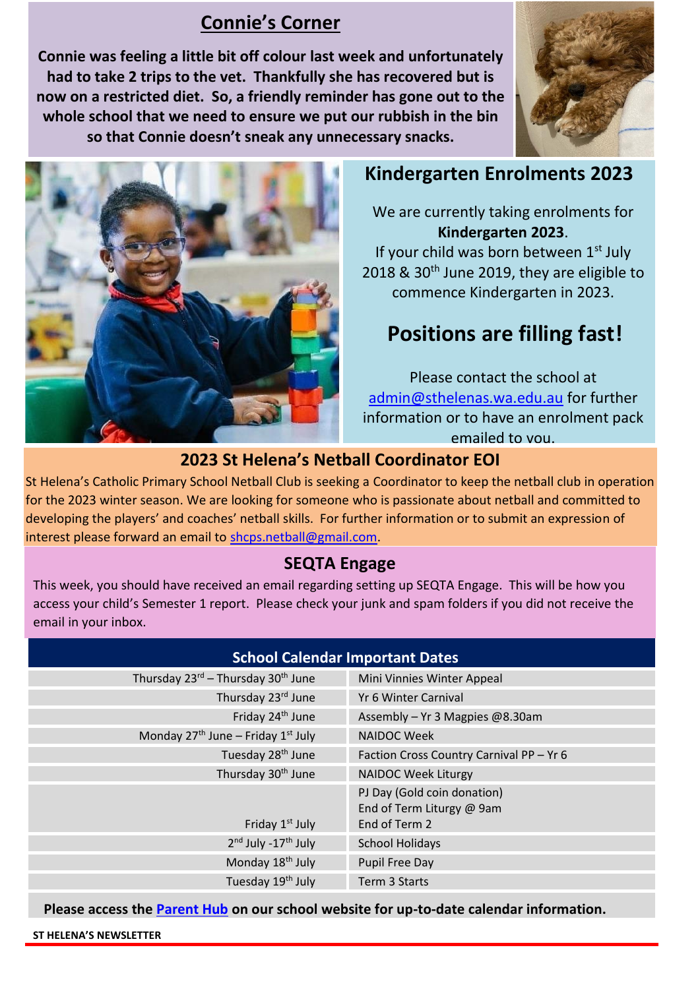## **Connie's Corner**

**Connie was feeling a little bit off colour last week and unfortunately had to take 2 trips to the vet. Thankfully she has recovered but is now on a restricted diet. So, a friendly reminder has gone out to the whole school that we need to ensure we put our rubbish in the bin so that Connie doesn't sneak any unnecessary snacks.** 





## **Kindergarten Enrolments 2023**

We are currently taking enrolments for **Kindergarten 2023**. If your child was born between  $1<sup>st</sup>$  July 2018 & 30<sup>th</sup> June 2019, they are eligible to commence Kindergarten in 2023.

# **Positions are filling fast!**

Please contact the school at [admin@sthelenas.wa.edu.au](mailto:admin@sthelenas.wa.edu.au) for further information or to have an enrolment pack emailed to you.

### **2023 St Helena's Netball Coordinator EOI**

St Helena's Catholic Primary School Netball Club is seeking a Coordinator to keep the netball club in operation for the 2023 winter season. We are looking for someone who is passionate about netball and committed to developing the players' and coaches' netball skills. For further information or to submit an expression of interest please forward an email to [shcps.netball@gmail.com.](mailto:shcps.netball@gmail.com)

#### **SEQTA Engage**

This week, you should have received an email regarding setting up SEQTA Engage. This will be how you access your child's Semester 1 report. Please check your junk and spam folders if you did not receive the email in your inbox.

| <b>School Calendar Important Dates</b>                     |                                                                           |
|------------------------------------------------------------|---------------------------------------------------------------------------|
| Thursday 23 <sup>rd</sup> - Thursday 30 <sup>th</sup> June | Mini Vinnies Winter Appeal                                                |
| Thursday 23 <sup>rd</sup> June                             | Yr 6 Winter Carnival                                                      |
| Friday 24 <sup>th</sup> June                               | Assembly - Yr 3 Magpies @8.30am                                           |
| Monday $27th$ June – Friday $1st$ July                     | <b>NAIDOC Week</b>                                                        |
| Tuesday 28 <sup>th</sup> June                              | Faction Cross Country Carnival PP - Yr 6                                  |
| Thursday 30 <sup>th</sup> June                             | <b>NAIDOC Week Liturgy</b>                                                |
| Friday 1 <sup>st</sup> July                                | PJ Day (Gold coin donation)<br>End of Term Liturgy @ 9am<br>End of Term 2 |
| 2 <sup>nd</sup> July -17 <sup>th</sup> July                | <b>School Holidays</b>                                                    |
| Monday 18 <sup>th</sup> July                               | <b>Pupil Free Day</b>                                                     |
| Tuesday 19 <sup>th</sup> July                              | Term 3 Starts                                                             |
|                                                            |                                                                           |

**Please access the [Parent Hub](https://sthelenas.wa.edu.au/parent-hub/) on our school website for up-to-date calendar information.**